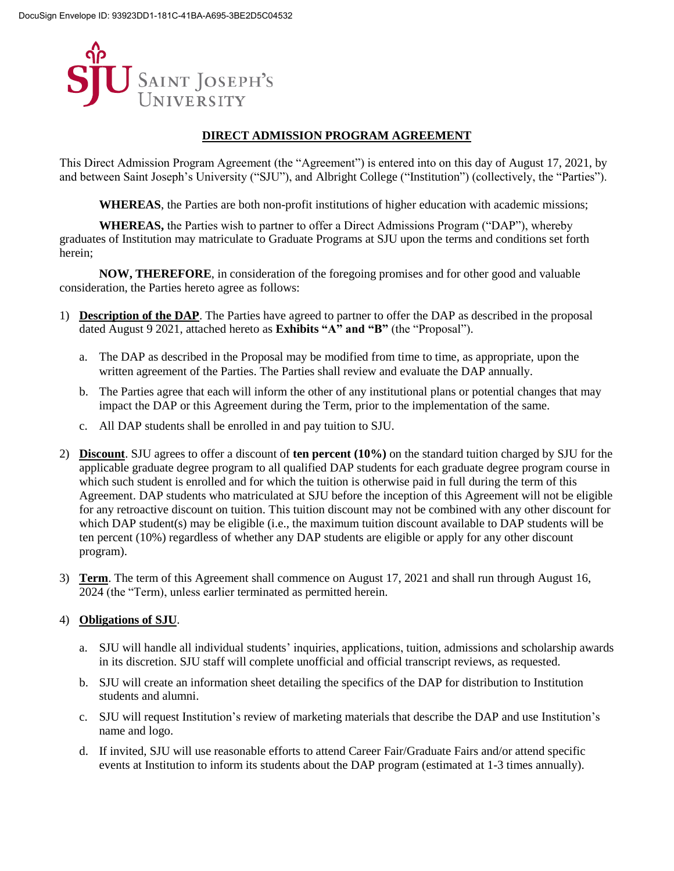

# **DIRECT ADMISSION PROGRAM AGREEMENT**

This Direct Admission Program Agreement (the "Agreement") is entered into on this day of August 17, 2021, by and between Saint Joseph's University ("SJU"), and Albright College ("Institution") (collectively, the "Parties").

**WHEREAS**, the Parties are both non-profit institutions of higher education with academic missions;

**WHEREAS,** the Parties wish to partner to offer a Direct Admissions Program ("DAP"), whereby graduates of Institution may matriculate to Graduate Programs at SJU upon the terms and conditions set forth herein;

**NOW, THEREFORE**, in consideration of the foregoing promises and for other good and valuable consideration, the Parties hereto agree as follows:

- 1) **Description of the DAP**. The Parties have agreed to partner to offer the DAP as described in the proposal dated August 9 2021, attached hereto as **Exhibits "A" and "B"** (the "Proposal").
	- a. The DAP as described in the Proposal may be modified from time to time, as appropriate, upon the written agreement of the Parties. The Parties shall review and evaluate the DAP annually.
	- b. The Parties agree that each will inform the other of any institutional plans or potential changes that may impact the DAP or this Agreement during the Term, prior to the implementation of the same.
	- c. All DAP students shall be enrolled in and pay tuition to SJU.
- 2) **Discount**. SJU agrees to offer a discount of **ten percent (10%)** on the standard tuition charged by SJU for the applicable graduate degree program to all qualified DAP students for each graduate degree program course in which such student is enrolled and for which the tuition is otherwise paid in full during the term of this Agreement. DAP students who matriculated at SJU before the inception of this Agreement will not be eligible for any retroactive discount on tuition. This tuition discount may not be combined with any other discount for which DAP student(s) may be eligible (i.e., the maximum tuition discount available to DAP students will be ten percent (10%) regardless of whether any DAP students are eligible or apply for any other discount program).
- 3) **Term**. The term of this Agreement shall commence on August 17, 2021 and shall run through August 16, 2024 (the "Term), unless earlier terminated as permitted herein.

## 4) **Obligations of SJU**.

- a. SJU will handle all individual students' inquiries, applications, tuition, admissions and scholarship awards in its discretion. SJU staff will complete unofficial and official transcript reviews, as requested.
- b. SJU will create an information sheet detailing the specifics of the DAP for distribution to Institution students and alumni.
- c. SJU will request Institution's review of marketing materials that describe the DAP and use Institution's name and logo.
- d. If invited, SJU will use reasonable efforts to attend Career Fair/Graduate Fairs and/or attend specific events at Institution to inform its students about the DAP program (estimated at 1-3 times annually).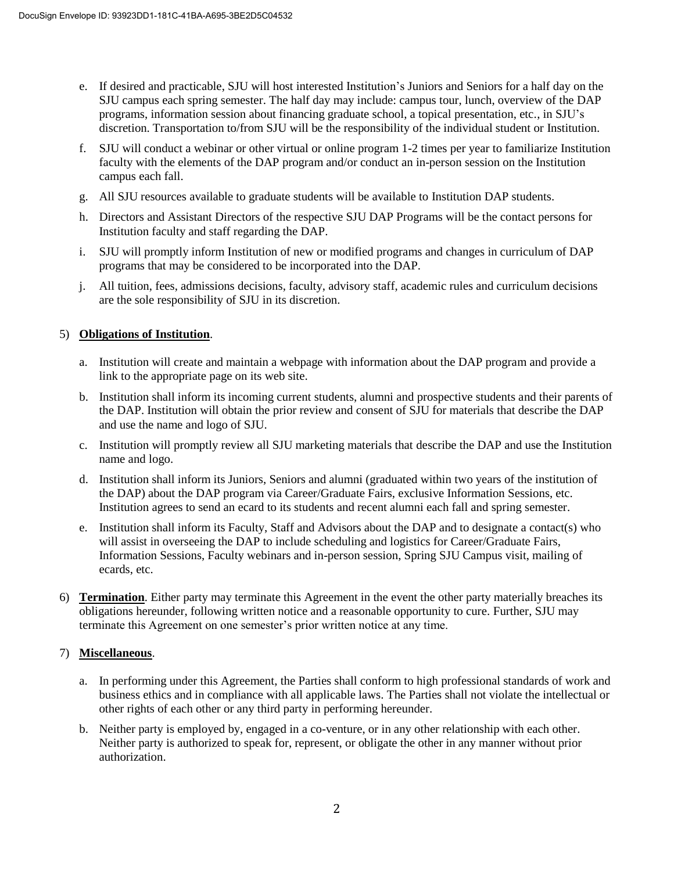- e. If desired and practicable, SJU will host interested Institution's Juniors and Seniors for a half day on the SJU campus each spring semester. The half day may include: campus tour, lunch, overview of the DAP programs, information session about financing graduate school, a topical presentation, etc., in SJU's discretion. Transportation to/from SJU will be the responsibility of the individual student or Institution.
- f. SJU will conduct a webinar or other virtual or online program 1-2 times per year to familiarize Institution faculty with the elements of the DAP program and/or conduct an in-person session on the Institution campus each fall.
- g. All SJU resources available to graduate students will be available to Institution DAP students.
- h. Directors and Assistant Directors of the respective SJU DAP Programs will be the contact persons for Institution faculty and staff regarding the DAP.
- i. SJU will promptly inform Institution of new or modified programs and changes in curriculum of DAP programs that may be considered to be incorporated into the DAP.
- j. All tuition, fees, admissions decisions, faculty, advisory staff, academic rules and curriculum decisions are the sole responsibility of SJU in its discretion.

## 5) **Obligations of Institution**.

- a. Institution will create and maintain a webpage with information about the DAP program and provide a link to the appropriate page on its web site.
- b. Institution shall inform its incoming current students, alumni and prospective students and their parents of the DAP. Institution will obtain the prior review and consent of SJU for materials that describe the DAP and use the name and logo of SJU.
- c. Institution will promptly review all SJU marketing materials that describe the DAP and use the Institution name and logo.
- d. Institution shall inform its Juniors, Seniors and alumni (graduated within two years of the institution of the DAP) about the DAP program via Career/Graduate Fairs, exclusive Information Sessions, etc. Institution agrees to send an ecard to its students and recent alumni each fall and spring semester.
- e. Institution shall inform its Faculty, Staff and Advisors about the DAP and to designate a contact(s) who will assist in overseeing the DAP to include scheduling and logistics for Career/Graduate Fairs, Information Sessions, Faculty webinars and in-person session, Spring SJU Campus visit, mailing of ecards, etc.
- 6) **Termination**. Either party may terminate this Agreement in the event the other party materially breaches its obligations hereunder, following written notice and a reasonable opportunity to cure. Further, SJU may terminate this Agreement on one semester's prior written notice at any time.

## 7) **Miscellaneous**.

- a. In performing under this Agreement, the Parties shall conform to high professional standards of work and business ethics and in compliance with all applicable laws. The Parties shall not violate the intellectual or other rights of each other or any third party in performing hereunder.
- b. Neither party is employed by, engaged in a co-venture, or in any other relationship with each other. Neither party is authorized to speak for, represent, or obligate the other in any manner without prior authorization.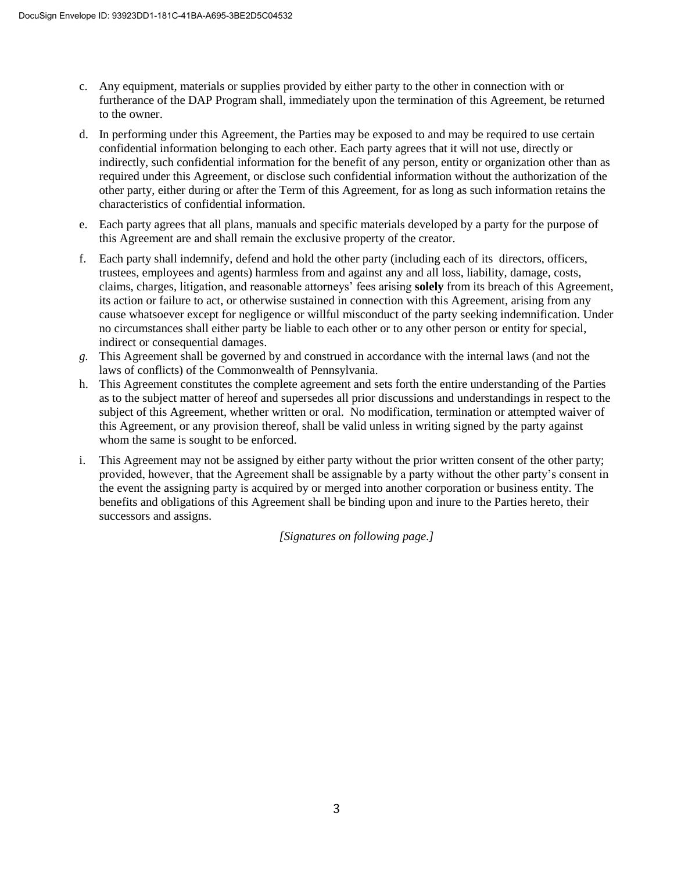- c. Any equipment, materials or supplies provided by either party to the other in connection with or furtherance of the DAP Program shall, immediately upon the termination of this Agreement, be returned to the owner.
- d. In performing under this Agreement, the Parties may be exposed to and may be required to use certain confidential information belonging to each other. Each party agrees that it will not use, directly or indirectly, such confidential information for the benefit of any person, entity or organization other than as required under this Agreement, or disclose such confidential information without the authorization of the other party, either during or after the Term of this Agreement, for as long as such information retains the characteristics of confidential information.
- e. Each party agrees that all plans, manuals and specific materials developed by a party for the purpose of this Agreement are and shall remain the exclusive property of the creator.
- f. Each party shall indemnify, defend and hold the other party (including each of its directors, officers, trustees, employees and agents) harmless from and against any and all loss, liability, damage, costs, claims, charges, litigation, and reasonable attorneys' fees arising **solely** from its breach of this Agreement, its action or failure to act, or otherwise sustained in connection with this Agreement, arising from any cause whatsoever except for negligence or willful misconduct of the party seeking indemnification. Under no circumstances shall either party be liable to each other or to any other person or entity for special, indirect or consequential damages.
- *g.* This Agreement shall be governed by and construed in accordance with the internal laws (and not the laws of conflicts) of the Commonwealth of Pennsylvania.
- h. This Agreement constitutes the complete agreement and sets forth the entire understanding of the Parties as to the subject matter of hereof and supersedes all prior discussions and understandings in respect to the subject of this Agreement, whether written or oral. No modification, termination or attempted waiver of this Agreement, or any provision thereof, shall be valid unless in writing signed by the party against whom the same is sought to be enforced.
- i. This Agreement may not be assigned by either party without the prior written consent of the other party; provided, however, that the Agreement shall be assignable by a party without the other party's consent in the event the assigning party is acquired by or merged into another corporation or business entity. The benefits and obligations of this Agreement shall be binding upon and inure to the Parties hereto, their successors and assigns.

*[Signatures on following page.]*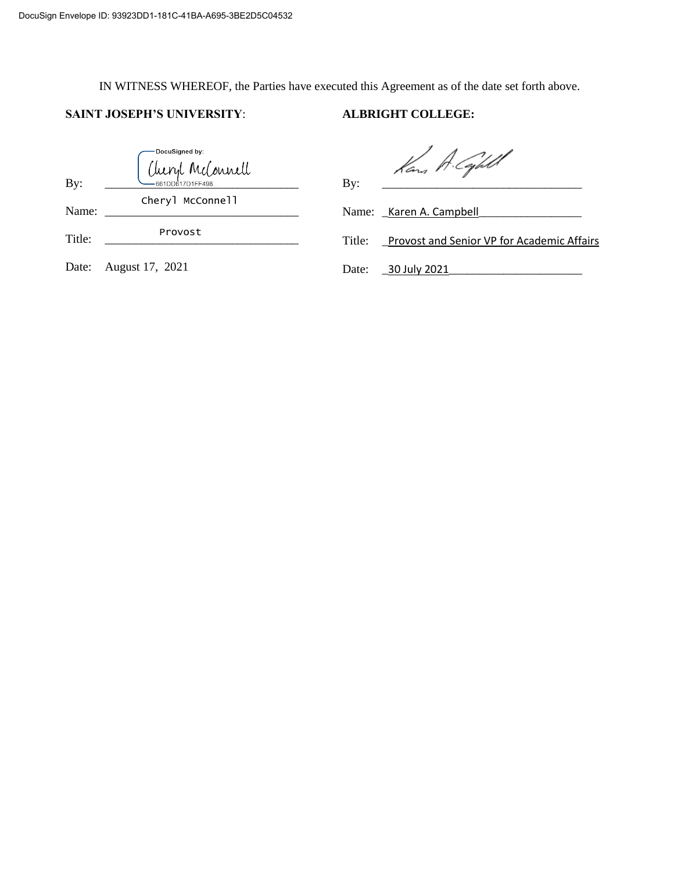IN WITNESS WHEREOF, the Parties have executed this Agreement as of the date set forth above.

# **SAINT JOSEPH'S UNIVERSITY**: **ALBRIGHT COLLEGE:**

| By:    | -DocuSigned by:<br>Cheryl McConnell | Kan A. Capell<br>By:                                        |  |
|--------|-------------------------------------|-------------------------------------------------------------|--|
| Name:  | Cheryl McConnell                    | Name: _Karen A. Campbell                                    |  |
| Title: | Provost                             | <b>Provost and Senior VP for Academic Affairs</b><br>Title: |  |
| Date:  | August 17, 2021                     | _30 July 2021<br>Date:                                      |  |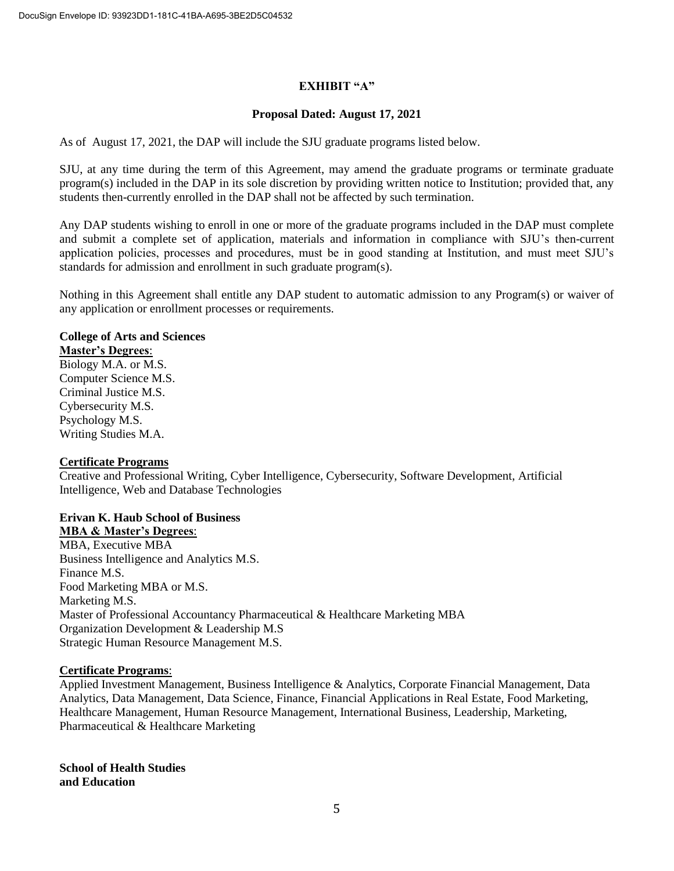## **EXHIBIT "A"**

### **Proposal Dated: August 17, 2021**

As of August 17, 2021, the DAP will include the SJU graduate programs listed below.

SJU, at any time during the term of this Agreement, may amend the graduate programs or terminate graduate program(s) included in the DAP in its sole discretion by providing written notice to Institution; provided that, any students then-currently enrolled in the DAP shall not be affected by such termination.

Any DAP students wishing to enroll in one or more of the graduate programs included in the DAP must complete and submit a complete set of application, materials and information in compliance with SJU's then-current application policies, processes and procedures, must be in good standing at Institution, and must meet SJU's standards for admission and enrollment in such graduate program(s).

Nothing in this Agreement shall entitle any DAP student to automatic admission to any Program(s) or waiver of any application or enrollment processes or requirements.

## **College of Arts and Sciences**

**Master's Degrees**:

Biology M.A. or M.S. Computer Science M.S. Criminal Justice M.S. Cybersecurity M.S. Psychology M.S. Writing Studies M.A.

## **Certificate Programs**

Creative and Professional Writing, Cyber Intelligence, Cybersecurity, Software Development, Artificial Intelligence, Web and Database Technologies

## **Erivan K. Haub School of Business MBA & Master's Degrees**:

MBA, Executive MBA Business Intelligence and Analytics M.S. Finance M.S. Food Marketing MBA or M.S. Marketing M.S. Master of Professional Accountancy Pharmaceutical & Healthcare Marketing MBA Organization Development & Leadership M.S Strategic Human Resource Management M.S.

## **Certificate Programs**:

Applied Investment Management, Business Intelligence & Analytics, Corporate Financial Management, Data Analytics, Data Management, Data Science, Finance, Financial Applications in Real Estate, Food Marketing, Healthcare Management, Human Resource Management, International Business, Leadership, Marketing, Pharmaceutical & Healthcare Marketing

**School of Health Studies and Education**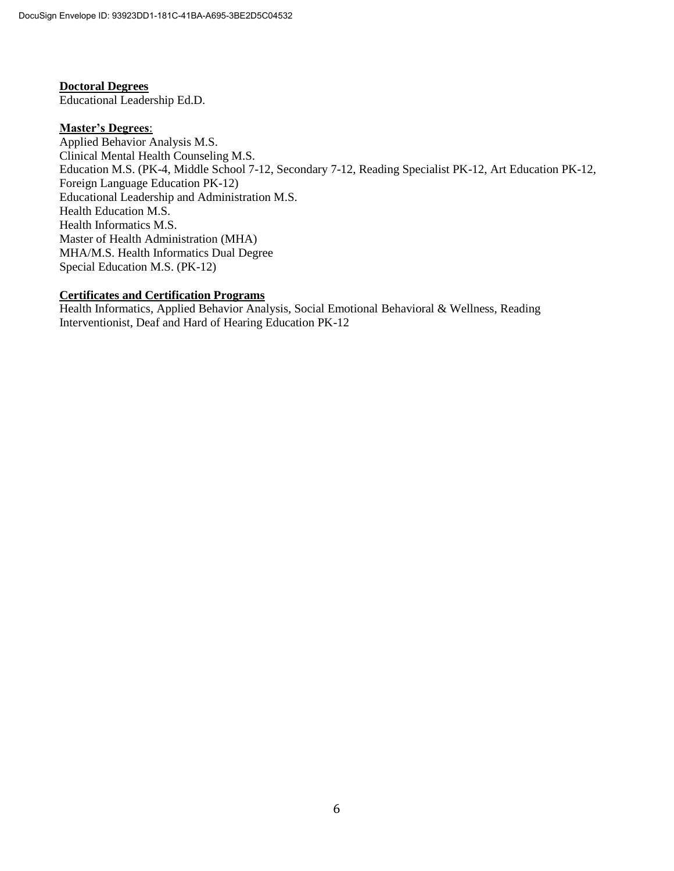## **Doctoral Degrees**

Educational Leadership Ed.D.

## **Master's Degrees**:

Applied Behavior Analysis M.S. Clinical Mental Health Counseling M.S. Education M.S. (PK-4, Middle School 7-12, Secondary 7-12, Reading Specialist PK-12, Art Education PK-12, Foreign Language Education PK-12) Educational Leadership and Administration M.S. Health Education M.S. Health Informatics M.S. Master of Health Administration (MHA) MHA/M.S. Health Informatics Dual Degree Special Education M.S. (PK-12)

## **Certificates and Certification Programs**

Health Informatics, Applied Behavior Analysis, Social Emotional Behavioral & Wellness, Reading Interventionist, Deaf and Hard of Hearing Education PK-12